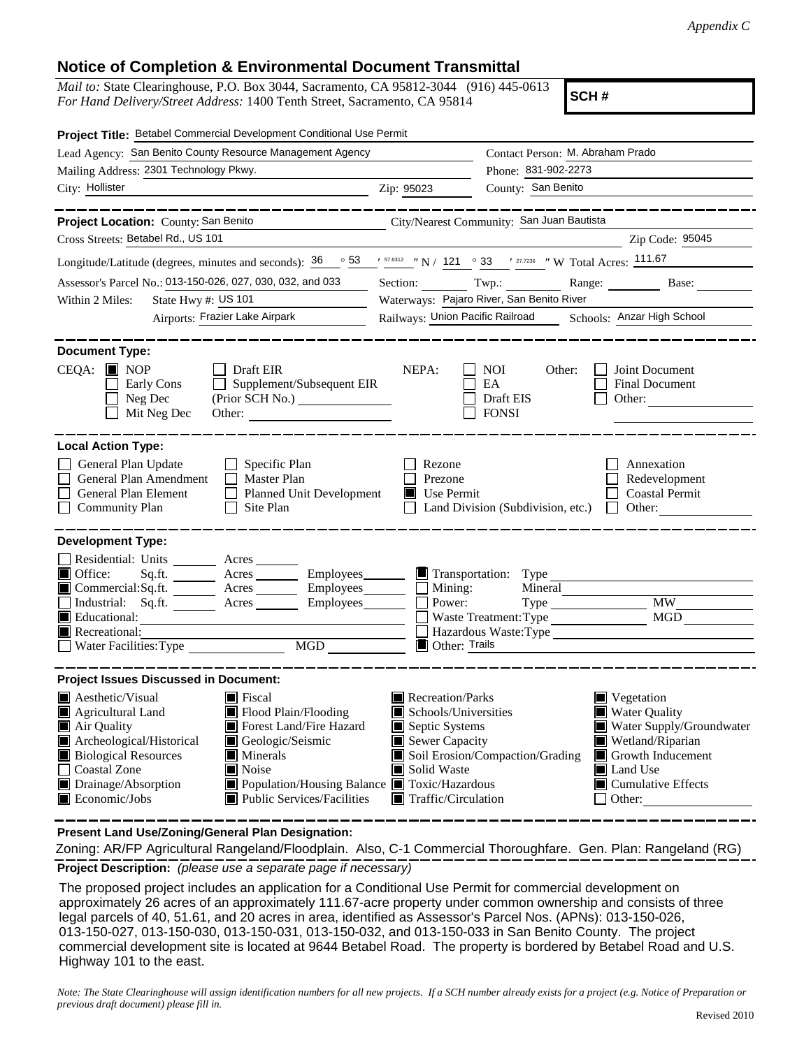## **Notice of Completion & Environmental Document Transmittal**

*Mail to:* State Clearinghouse, P.O. Box 3044, Sacramento, CA 95812-3044 (916) 445-0613 *For Hand Delivery/Street Address:* 1400 Tenth Street, Sacramento, CA 95814

**SCH #**

| Project Title: Betabel Commercial Development Conditional Use Permit                                                                                                                                                                                                                                                                                                                                                    |                                                                                                                                   |                                                                                  |                                                                                                                                                            |
|-------------------------------------------------------------------------------------------------------------------------------------------------------------------------------------------------------------------------------------------------------------------------------------------------------------------------------------------------------------------------------------------------------------------------|-----------------------------------------------------------------------------------------------------------------------------------|----------------------------------------------------------------------------------|------------------------------------------------------------------------------------------------------------------------------------------------------------|
| Lead Agency: San Benito County Resource Management Agency                                                                                                                                                                                                                                                                                                                                                               |                                                                                                                                   | Contact Person: M. Abraham Prado<br>Phone: 831-902-2273                          |                                                                                                                                                            |
| Mailing Address: 2301 Technology Pkwy.                                                                                                                                                                                                                                                                                                                                                                                  |                                                                                                                                   |                                                                                  |                                                                                                                                                            |
| City: Hollister<br><u> 1989 - Johann Barn, fransk politik amerikansk politik (d. 1989)</u>                                                                                                                                                                                                                                                                                                                              | Zip: 95023                                                                                                                        | County: San Benito                                                               |                                                                                                                                                            |
| Project Location: County: San Benito City/Nearest Community: San Juan Bautista<br>Cross Streets: Betabel Rd., US 101                                                                                                                                                                                                                                                                                                    |                                                                                                                                   |                                                                                  | Zip Code: 95045                                                                                                                                            |
| Longitude/Latitude (degrees, minutes and seconds): $\frac{36}{53}$ $\frac{53}{5}$ $\frac{157.8312}{57.8312}$ $\frac{1}{121}$ $\frac{1}{21}$ $\frac{33}{57}$ $\frac{1}{27.7236}$ $\frac{1}{12}$ W Total Acres: $\frac{111.67}{57}$                                                                                                                                                                                       |                                                                                                                                   |                                                                                  |                                                                                                                                                            |
| Assessor's Parcel No.: 013-150-026, 027, 030, 032, and 033                                                                                                                                                                                                                                                                                                                                                              |                                                                                                                                   |                                                                                  |                                                                                                                                                            |
| State Hwy #: $US$ 101<br>Within 2 Miles:                                                                                                                                                                                                                                                                                                                                                                                |                                                                                                                                   | Section: Twp.: Range: Base:<br>Waterways: Pajaro River, San Benito River         |                                                                                                                                                            |
| Airports: Frazier Lake Airpark                                                                                                                                                                                                                                                                                                                                                                                          |                                                                                                                                   |                                                                                  | Railways: Union Pacific Railroad Schools: Anzar High School                                                                                                |
|                                                                                                                                                                                                                                                                                                                                                                                                                         |                                                                                                                                   |                                                                                  |                                                                                                                                                            |
| <b>Document Type:</b><br>$CEQA:$ MOP<br>Draft EIR<br>Supplement/Subsequent EIR<br>Early Cons<br>Neg Dec<br>Mit Neg Dec<br>Other:                                                                                                                                                                                                                                                                                        | NEPA:                                                                                                                             | <b>NOI</b><br>Other:<br>EA<br>Draft EIS<br><b>FONSI</b>                          | Joint Document<br><b>Final Document</b><br>Other:                                                                                                          |
| <b>Local Action Type:</b>                                                                                                                                                                                                                                                                                                                                                                                               |                                                                                                                                   |                                                                                  |                                                                                                                                                            |
| General Plan Update<br>$\Box$ Specific Plan<br>General Plan Amendment<br>$\Box$ Master Plan<br>General Plan Element<br>Planned Unit Development<br>$\Box$<br>$\Box$ Site Plan<br><b>Community Plan</b>                                                                                                                                                                                                                  | Rezone<br>Prezone<br>Use Permit                                                                                                   | Land Division (Subdivision, etc.)                                                | Annexation<br>Redevelopment<br><b>Coastal Permit</b><br>$\Box$ Other:                                                                                      |
| <b>Development Type:</b><br>Residential: Units _______ Acres ______<br>Office:<br>$\Box$<br>Sq.ft.<br>Acres __________ Employees_________<br>Commercial:Sq.ft.<br>$\text{Acres}$ Employees $\Box$ Mining:<br>Industrial: Sq.ft. _______ Acres _______ Employees_______<br><b>E</b> Educational:<br>Recreational:<br>Water Facilities: Type<br>MGD                                                                       | Power:<br>Other: Trails                                                                                                           | Transportation: Type<br>Mineral<br>Waste Treatment: Type<br>Hazardous Waste:Type | MGD                                                                                                                                                        |
| <b>Project Issues Discussed in Document:</b>                                                                                                                                                                                                                                                                                                                                                                            |                                                                                                                                   |                                                                                  |                                                                                                                                                            |
| $\blacksquare$ Aesthetic/Visual<br>$\blacksquare$ Fiscal<br>Flood Plain/Flooding<br>Agricultural Land<br>IШ<br>Air Quality<br>Forest Land/Fire Hazard<br>Archeological/Historical<br>Geologic/Seismic<br><b>Biological Resources</b><br>$\blacksquare$ Minerals<br>Noise<br><b>Coastal Zone</b><br>Drainage/Absorption<br>■ Population/Housing Balance ■ Toxic/Hazardous<br>Public Services/Facilities<br>Economic/Jobs | Recreation/Parks<br>Schools/Universities<br>Septic Systems<br>Sewer Capacity<br>Solid Waste<br>$\blacksquare$ Traffic/Circulation | Soil Erosion/Compaction/Grading                                                  | Vegetation<br><b>Water Quality</b><br>Water Supply/Groundwater<br>Wetland/Riparian<br>Growth Inducement<br>Land Use<br>$\Box$ Cumulative Effects<br>Other: |

**Present Land Use/Zoning/General Plan Designation:**

**Project Description:** *(please use a separate page if necessary)* Zoning: AR/FP Agricultural Rangeland/Floodplain. Also, C-1 Commercial Thoroughfare. Gen. Plan: Rangeland (RG)

 The proposed project includes an application for a Conditional Use Permit for commercial development on approximately 26 acres of an approximately 111.67-acre property under common ownership and consists of three legal parcels of 40, 51.61, and 20 acres in area, identified as Assessor's Parcel Nos. (APNs): 013-150-026, 013-150-027, 013-150-030, 013-150-031, 013-150-032, and 013-150-033 in San Benito County. The project commercial development site is located at 9644 Betabel Road. The property is bordered by Betabel Road and U.S. Highway 101 to the east.

*Note: The State Clearinghouse will assign identification numbers for all new projects. If a SCH number already exists for a project (e.g. Notice of Preparation or previous draft document) please fill in.*